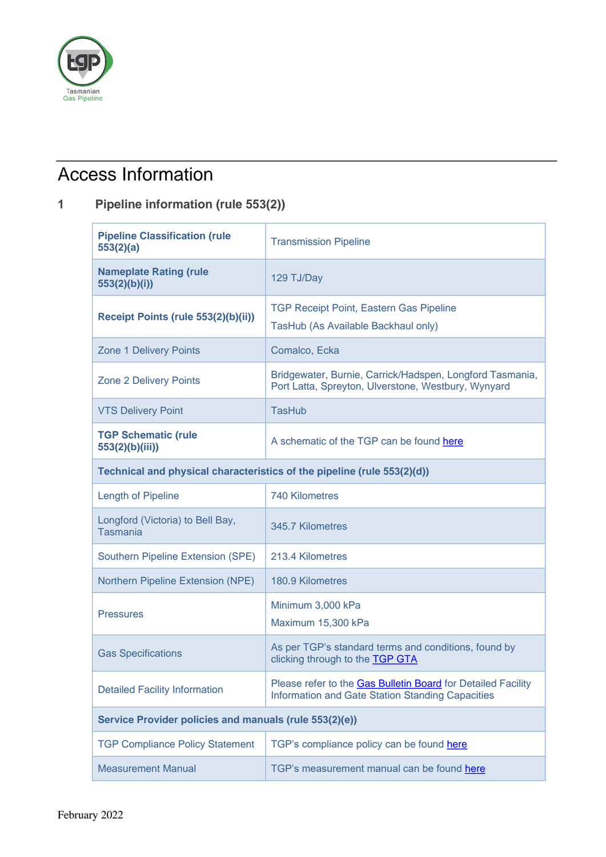

# Access Information

## **1 Pipeline information (rule 553(2))**

| <b>Pipeline Classification (rule</b><br>553(2)(a)                       | <b>Transmission Pipeline</b>                                                                                            |  |
|-------------------------------------------------------------------------|-------------------------------------------------------------------------------------------------------------------------|--|
| <b>Nameplate Rating (rule</b><br>553(2)(b)(i))                          | 129 TJ/Day                                                                                                              |  |
| Receipt Points (rule 553(2)(b)(ii))                                     | <b>TGP Receipt Point, Eastern Gas Pipeline</b><br>TasHub (As Available Backhaul only)                                   |  |
| <b>Zone 1 Delivery Points</b>                                           | Comalco, Ecka                                                                                                           |  |
| <b>Zone 2 Delivery Points</b>                                           | Bridgewater, Burnie, Carrick/Hadspen, Longford Tasmania,<br>Port Latta, Spreyton, Ulverstone, Westbury, Wynyard         |  |
| <b>VTS Delivery Point</b>                                               | <b>TasHub</b>                                                                                                           |  |
| <b>TGP Schematic (rule</b><br>553(2)(b)(iii))                           | A schematic of the TGP can be found here                                                                                |  |
| Technical and physical characteristics of the pipeline (rule 553(2)(d)) |                                                                                                                         |  |
| <b>Length of Pipeline</b>                                               | <b>740 Kilometres</b>                                                                                                   |  |
| Longford (Victoria) to Bell Bay,<br><b>Tasmania</b>                     | 345.7 Kilometres                                                                                                        |  |
| Southern Pipeline Extension (SPE)                                       | 213.4 Kilometres                                                                                                        |  |
| <b>Northern Pipeline Extension (NPE)</b>                                | 180.9 Kilometres                                                                                                        |  |
| <b>Pressures</b>                                                        | Minimum 3,000 kPa<br>Maximum 15,300 kPa                                                                                 |  |
| <b>Gas Specifications</b>                                               | As per TGP's standard terms and conditions, found by<br>clicking through to the TGP GTA                                 |  |
| <b>Detailed Facility Information</b>                                    | Please refer to the <b>Gas Bulletin Board</b> for Detailed Facility<br>Information and Gate Station Standing Capacities |  |
| Service Provider policies and manuals (rule 553(2)(e))                  |                                                                                                                         |  |
| <b>TGP Compliance Policy Statement</b>                                  | TGP's compliance policy can be found here                                                                               |  |
| <b>Measurement Manual</b>                                               | TGP's measurement manual can be found here                                                                              |  |